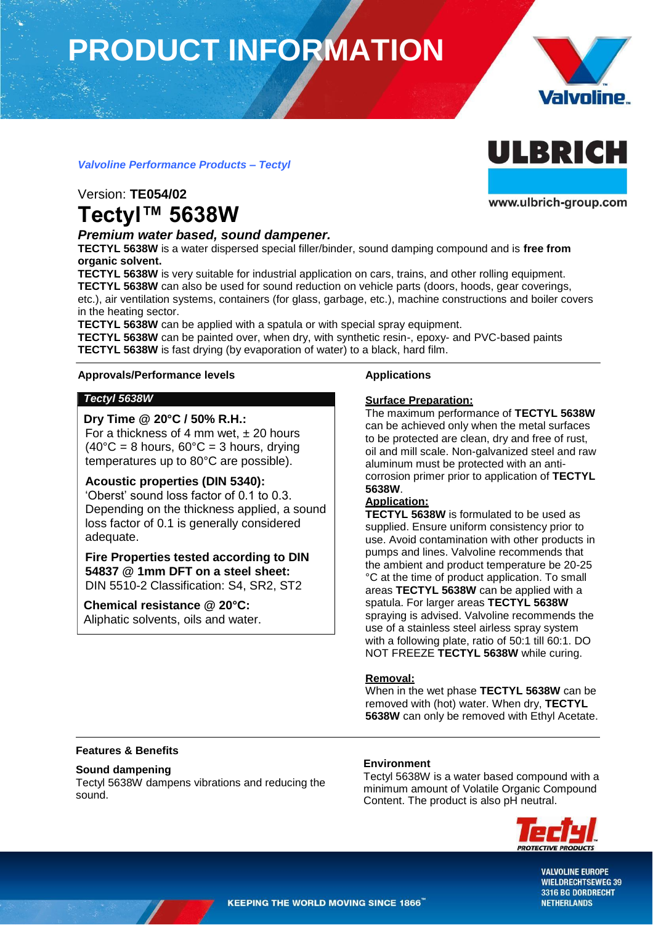# **PRODUCT INFORMATION**



ULBRICH

www.ulbrich-group.com

### *Valvoline Performance Products – Tectyl*

### Version: **TE054/02 Tectyl™ 5638W**

#### *Premium water based, sound dampener.*

**TECTYL 5638W** is a water dispersed special filler/binder, sound damping compound and is **free from organic solvent.**

**TECTYL 5638W** is very suitable for industrial application on cars, trains, and other rolling equipment. **TECTYL 5638W** can also be used for sound reduction on vehicle parts (doors, hoods, gear coverings, etc.), air ventilation systems, containers (for glass, garbage, etc.), machine constructions and boiler covers in the heating sector.

**TECTYL 5638W** can be applied with a spatula or with special spray equipment.

**TECTYL 5638W** can be painted over, when dry, with synthetic resin-, epoxy- and PVC-based paints **TECTYL 5638W** is fast drying (by evaporation of water) to a black, hard film.

#### **Approvals/Performance levels Applications**

#### *Tectyl 5638W*

#### **Dry Time @ 20°C / 50% R.H.:**

For a thickness of 4 mm wet,  $\pm 20$  hours  $(40^{\circ}C = 8$  hours,  $60^{\circ}C = 3$  hours, drying temperatures up to 80°C are possible).

#### **Acoustic properties (DIN 5340):**

'Oberst' sound loss factor of 0.1 to 0.3. Depending on the thickness applied, a sound loss factor of 0.1 is generally considered adequate.

**Fire Properties tested according to DIN 54837 @ 1mm DFT on a steel sheet:**  DIN 5510-2 Classification: S4, SR2, ST2

**Chemical resistance @ 20°C:** Aliphatic solvents, oils and water.

#### **Surface Preparation:**

The maximum performance of **TECTYL 5638W**  can be achieved only when the metal surfaces to be protected are clean, dry and free of rust, oil and mill scale. Non-galvanized steel and raw aluminum must be protected with an anticorrosion primer prior to application of **TECTYL 5638W**.

#### **Application:**

**TECTYL 5638W** is formulated to be used as supplied. Ensure uniform consistency prior to use. Avoid contamination with other products in pumps and lines. Valvoline recommends that the ambient and product temperature be 20-25 °C at the time of product application. To small areas **TECTYL 5638W** can be applied with a spatula. For larger areas **TECTYL 5638W**  spraying is advised. Valvoline recommends the use of a stainless steel airless spray system with a following plate, ratio of 50:1 till 60:1. DO NOT FREEZE **TECTYL 5638W** while curing.

#### **Removal:**

When in the wet phase **TECTYL 5638W** can be removed with (hot) water. When dry, **TECTYL 5638W** can only be removed with Ethyl Acetate.

#### **Features & Benefits**

#### **Sound dampening**

Tectyl 5638W dampens vibrations and reducing the sound.

#### **Environment**

Tectyl 5638W is a water based compound with a minimum amount of Volatile Organic Compound Content. The product is also pH neutral.



**VALVOLINE EUROPE WIELDRECHTSEWEG 39** 3316 BG DORDRECHT **NETHERLANDS**